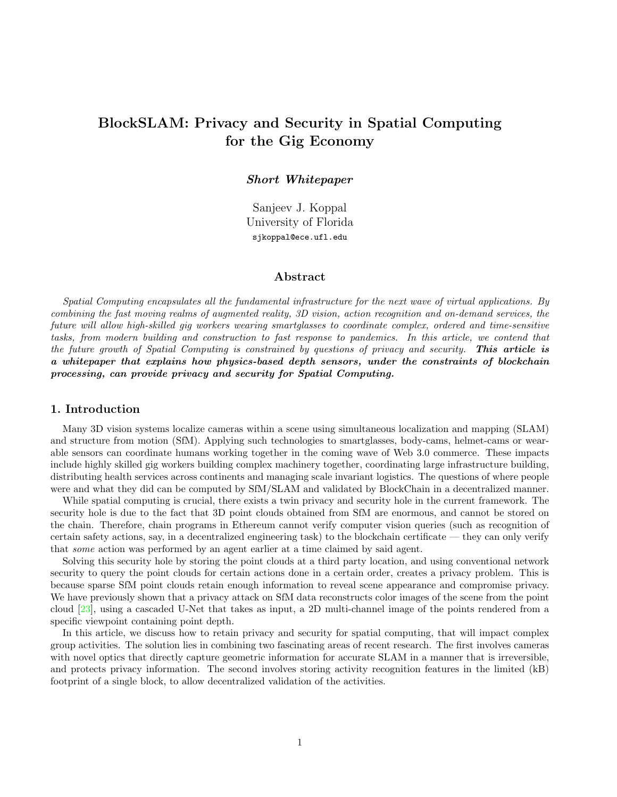# <span id="page-0-0"></span>BlockSLAM: Privacy and Security in Spatial Computing for the Gig Economy

#### Short Whitepaper

Sanjeev J. Koppal University of Florida sjkoppal@ece.ufl.edu

## Abstract

Spatial Computing encapsulates all the fundamental infrastructure for the next wave of virtual applications. By combining the fast moving realms of augmented reality, 3D vision, action recognition and on-demand services, the future will allow high-skilled gig workers wearing smartglasses to coordinate complex, ordered and time-sensitive tasks, from modern building and construction to fast response to pandemics. In this article, we contend that the future growth of Spatial Computing is constrained by questions of privacy and security. **This article is** a whitepaper that explains how physics-based depth sensors, under the constraints of blockchain processing, can provide privacy and security for Spatial Computing.

# 1. Introduction

Many 3D vision systems localize cameras within a scene using simultaneous localization and mapping (SLAM) and structure from motion (SfM). Applying such technologies to smartglasses, body-cams, helmet-cams or wearable sensors can coordinate humans working together in the coming wave of Web 3.0 commerce. These impacts include highly skilled gig workers building complex machinery together, coordinating large infrastructure building, distributing health services across continents and managing scale invariant logistics. The questions of where people were and what they did can be computed by SfM/SLAM and validated by BlockChain in a decentralized manner.

While spatial computing is crucial, there exists a twin privacy and security hole in the current framework. The security hole is due to the fact that 3D point clouds obtained from SfM are enormous, and cannot be stored on the chain. Therefore, chain programs in Ethereum cannot verify computer vision queries (such as recognition of certain safety actions, say, in a decentralized engineering task) to the blockchain certificate — they can only verify that some action was performed by an agent earlier at a time claimed by said agent.

Solving this security hole by storing the point clouds at a third party location, and using conventional network security to query the point clouds for certain actions done in a certain order, creates a privacy problem. This is because sparse SfM point clouds retain enough information to reveal scene appearance and compromise privacy. We have previously shown that a privacy attack on SfM data reconstructs color images of the scene from the point cloud [\[23\]](#page-3-0), using a cascaded U-Net that takes as input, a 2D multi-channel image of the points rendered from a specific viewpoint containing point depth.

In this article, we discuss how to retain privacy and security for spatial computing, that will impact complex group activities. The solution lies in combining two fascinating areas of recent research. The first involves cameras with novel optics that directly capture geometric information for accurate SLAM in a manner that is irreversible, and protects privacy information. The second involves storing activity recognition features in the limited (kB) footprint of a single block, to allow decentralized validation of the activities.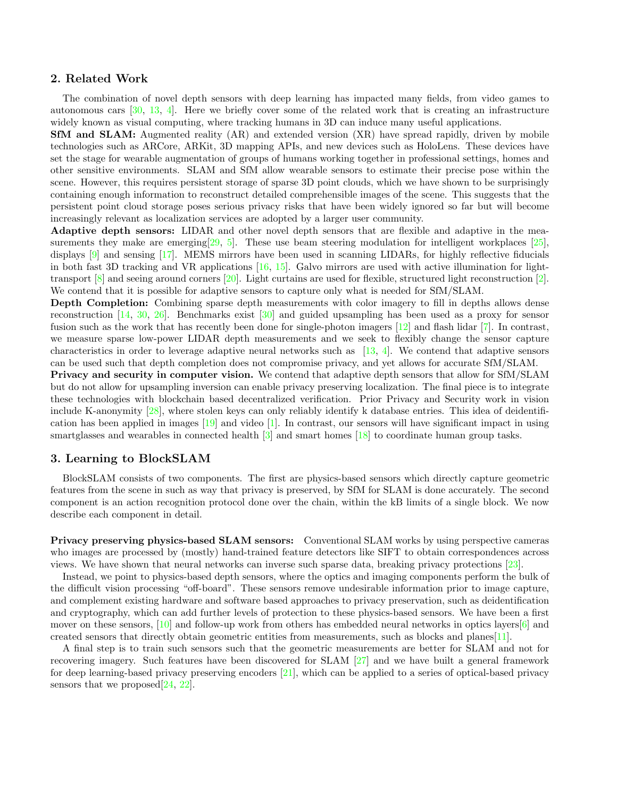#### <span id="page-1-0"></span>2. Related Work

The combination of novel depth sensors with deep learning has impacted many fields, from video games to autonomous cars [\[30,](#page-4-0) [13,](#page-3-1) [4\]](#page-2-0). Here we briefly cover some of the related work that is creating an infrastructure widely known as visual computing, where tracking humans in 3D can induce many useful applications.

SfM and SLAM: Augmented reality (AR) and extended version (XR) have spread rapidly, driven by mobile technologies such as ARCore, ARKit, 3D mapping APIs, and new devices such as HoloLens. These devices have set the stage for wearable augmentation of groups of humans working together in professional settings, homes and other sensitive environments. SLAM and SfM allow wearable sensors to estimate their precise pose within the scene. However, this requires persistent storage of sparse 3D point clouds, which we have shown to be surprisingly containing enough information to reconstruct detailed comprehensible images of the scene. This suggests that the persistent point cloud storage poses serious privacy risks that have been widely ignored so far but will become increasingly relevant as localization services are adopted by a larger user community.

Adaptive depth sensors: LIDAR and other novel depth sensors that are flexible and adaptive in the measurements they make are emerging $[29, 5]$  $[29, 5]$  $[29, 5]$ . These use beam steering modulation for intelligent workplaces  $[25]$ , displays [\[9\]](#page-3-3) and sensing [\[17\]](#page-3-4). MEMS mirrors have been used in scanning LIDARs, for highly reflective fiducials in both fast 3D tracking and VR applications [\[16,](#page-3-5) [15\]](#page-3-6). Galvo mirrors are used with active illumination for lighttransport  $[8]$  and seeing around corners  $[20]$ . Light curtains are used for flexible, structured light reconstruction  $[2]$ . We contend that it is possible for adaptive sensors to capture only what is needed for  $\text{SfM}/\text{SLAM}$ .

Depth Completion: Combining sparse depth measurements with color imagery to fill in depths allows dense reconstruction [\[14,](#page-3-9) [30,](#page-4-0) [26\]](#page-3-10). Benchmarks exist [\[30\]](#page-4-0) and guided upsampling has been used as a proxy for sensor fusion such as the work that has recently been done for single-photon imagers [\[12\]](#page-3-11) and flash lidar [\[7\]](#page-2-3). In contrast, we measure sparse low-power LIDAR depth measurements and we seek to flexibly change the sensor capture characteristics in order to leverage adaptive neural networks such as [\[13,](#page-3-1) [4\]](#page-2-0). We contend that adaptive sensors can be used such that depth completion does not compromise privacy, and yet allows for accurate SfM/SLAM.

Privacy and security in computer vision. We contend that adaptive depth sensors that allow for SfM/SLAM but do not allow for upsampling inversion can enable privacy preserving localization. The final piece is to integrate these technologies with blockchain based decentralized verification. Prior Privacy and Security work in vision include K-anonymity [\[28\]](#page-4-2), where stolen keys can only reliably identify k database entries. This idea of deidentification has been applied in images [\[19\]](#page-3-12) and video [\[1\]](#page-2-4). In contrast, our sensors will have significant impact in using smartglasses and wearables in connected health [\[3\]](#page-2-5) and smart homes [\[18\]](#page-3-13) to coordinate human group tasks.

# 3. Learning to BlockSLAM

BlockSLAM consists of two components. The first are physics-based sensors which directly capture geometric features from the scene in such as way that privacy is preserved, by SfM for SLAM is done accurately. The second component is an action recognition protocol done over the chain, within the kB limits of a single block. We now describe each component in detail.

Privacy preserving physics-based SLAM sensors: Conventional SLAM works by using perspective cameras who images are processed by (mostly) hand-trained feature detectors like SIFT to obtain correspondences across views. We have shown that neural networks can inverse such sparse data, breaking privacy protections [\[23\]](#page-3-0).

Instead, we point to physics-based depth sensors, where the optics and imaging components perform the bulk of the difficult vision processing "off-board". These sensors remove undesirable information prior to image capture, and complement existing hardware and software based approaches to privacy preservation, such as deidentification and cryptography, which can add further levels of protection to these physics-based sensors. We have been a first mover on these sensors,  $[10]$  and follow-up work from others has embedded neural networks in optics layers $[6]$  and created sensors that directly obtain geometric entities from measurements, such as blocks and planes[\[11\]](#page-3-15).

A final step is to train such sensors such that the geometric measurements are better for SLAM and not for recovering imagery. Such features have been discovered for SLAM [\[27\]](#page-4-3) and we have built a general framework for deep learning-based privacy preserving encoders [\[21\]](#page-3-16), which can be applied to a series of optical-based privacy sensors that we proposed  $[24, 22]$  $[24, 22]$  $[24, 22]$ .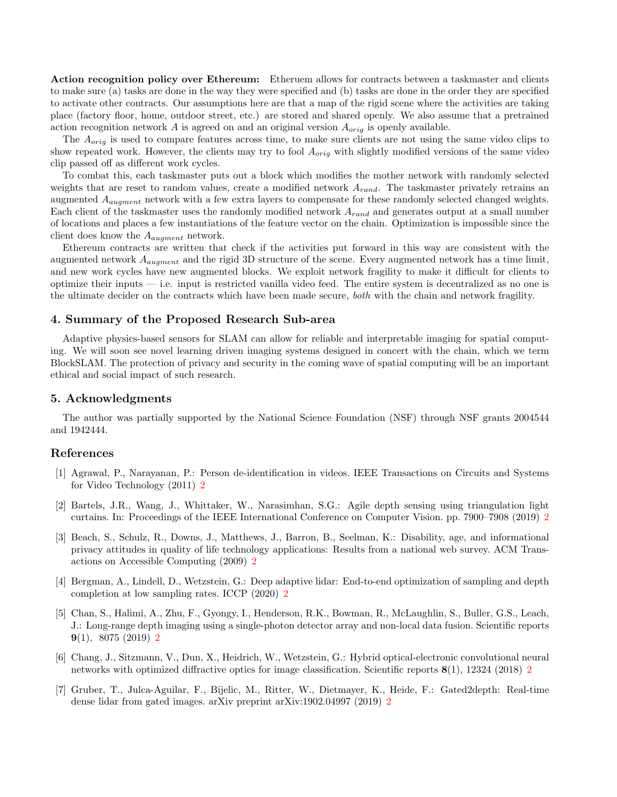Action recognition policy over Ethereum: Etheruem allows for contracts between a taskmaster and clients to make sure (a) tasks are done in the way they were specified and (b) tasks are done in the order they are specified to activate other contracts. Our assumptions here are that a map of the rigid scene where the activities are taking place (factory floor, home, outdoor street, etc.) are stored and shared openly. We also assume that a pretrained action recognition network  $A$  is agreed on and an original version  $A_{orig}$  is openly available.

The  $A_{orig}$  is used to compare features across time, to make sure clients are not using the same video clips to show repeated work. However, the clients may try to fool  $A_{orig}$  with slightly modified versions of the same video clip passed off as different work cycles.

To combat this, each taskmaster puts out a block which modifies the mother network with randomly selected weights that are reset to random values, create a modified network  $A_{rand}$ . The taskmaster privately retrains an augmented  $A_{augment}$  network with a few extra layers to compensate for these randomly selected changed weights. Each client of the taskmaster uses the randomly modified network  $A_{rand}$  and generates output at a small number of locations and places a few instantiations of the feature vector on the chain. Optimization is impossible since the client does know the  $A_{augment}$  network.

Ethereum contracts are written that check if the activities put forward in this way are consistent with the augmented network  $A_{augment}$  and the rigid 3D structure of the scene. Every augmented network has a time limit, and new work cycles have new augmented blocks. We exploit network fragility to make it difficult for clients to optimize their inputs  $-$  i.e. input is restricted vanilla video feed. The entire system is decentralized as no one is the ultimate decider on the contracts which have been made secure, both with the chain and network fragility.

#### 4. Summary of the Proposed Research Sub-area

Adaptive physics-based sensors for SLAM can allow for reliable and interpretable imaging for spatial computing. We will soon see novel learning driven imaging systems designed in concert with the chain, which we term BlockSLAM. The protection of privacy and security in the coming wave of spatial computing will be an important ethical and social impact of such research.

## 5. Acknowledgments

The author was partially supported by the National Science Foundation (NSF) through NSF grants 2004544 and 1942444.

#### References

- <span id="page-2-4"></span>[1] Agrawal, P., Narayanan, P.: Person de-identification in videos. IEEE Transactions on Circuits and Systems for Video Technology (2011) [2](#page-1-0)
- <span id="page-2-2"></span>[2] Bartels, J.R., Wang, J., Whittaker, W., Narasimhan, S.G.: Agile depth sensing using triangulation light curtains. In: Proceedings of the IEEE International Conference on Computer Vision. pp. 7900–7908 (2019) [2](#page-1-0)
- <span id="page-2-5"></span>[3] Beach, S., Schulz, R., Downs, J., Matthews, J., Barron, B., Seelman, K.: Disability, age, and informational privacy attitudes in quality of life technology applications: Results from a national web survey. ACM Transactions on Accessible Computing (2009) [2](#page-1-0)
- <span id="page-2-0"></span>[4] Bergman, A., Lindell, D., Wetzstein, G.: Deep adaptive lidar: End-to-end optimization of sampling and depth completion at low sampling rates. ICCP (2020) [2](#page-1-0)
- <span id="page-2-1"></span>[5] Chan, S., Halimi, A., Zhu, F., Gyongy, I., Henderson, R.K., Bowman, R., McLaughlin, S., Buller, G.S., Leach, J.: Long-range depth imaging using a single-photon detector array and non-local data fusion. Scientific reports **9**(1), 8075 ([2](#page-1-0)019) 2
- <span id="page-2-6"></span>[6] Chang, J., Sitzmann, V., Dun, X., Heidrich, W., Wetzstein, G.: Hybrid optical-electronic convolutional neural networks with optimized diffractive optics for image classification. Scientific reports 8(1), 12324 (2018) [2](#page-1-0)
- <span id="page-2-3"></span>[7] Gruber, T., Julca-Aguilar, F., Bijelic, M., Ritter, W., Dietmayer, K., Heide, F.: Gated2depth: Real-time dense lidar from gated images. arXiv preprint arXiv:1902.04997 (2019) [2](#page-1-0)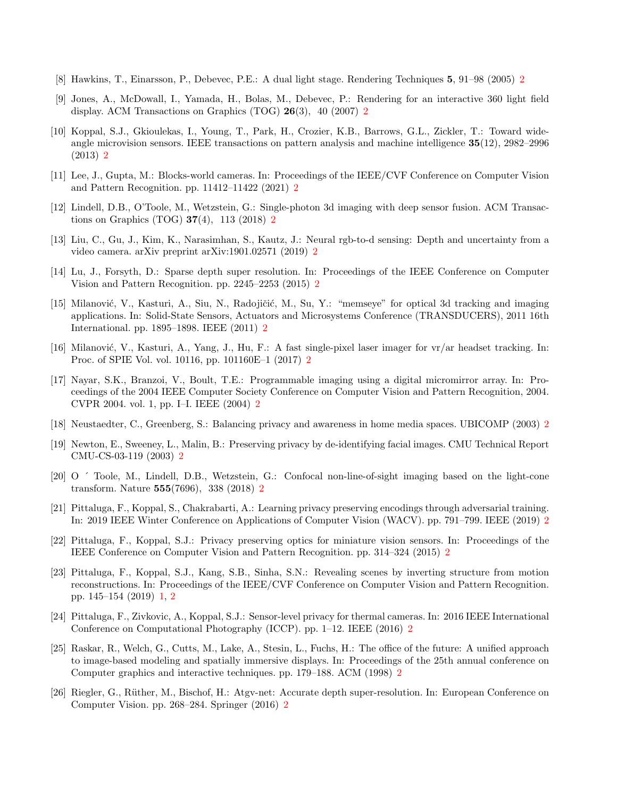- <span id="page-3-7"></span>[8] Hawkins, T., Einarsson, P., Debevec, P.E.: A dual light stage. Rendering Techniques 5, 91–98 (2005) [2](#page-1-0)
- <span id="page-3-3"></span>[9] Jones, A., McDowall, I., Yamada, H., Bolas, M., Debevec, P.: Rendering for an interactive 360 light field display. ACM Transactions on Graphics (TOG) 26(3), 40 (2007) [2](#page-1-0)
- <span id="page-3-14"></span>[10] Koppal, S.J., Gkioulekas, I., Young, T., Park, H., Crozier, K.B., Barrows, G.L., Zickler, T.: Toward wideangle microvision sensors. IEEE transactions on pattern analysis and machine intelligence 35(12), 2982–2996 (2013) [2](#page-1-0)
- <span id="page-3-15"></span>[11] Lee, J., Gupta, M.: Blocks-world cameras. In: Proceedings of the IEEE/CVF Conference on Computer Vision and Pattern Recognition. pp. 11412–11422 (2021) [2](#page-1-0)
- <span id="page-3-11"></span>[12] Lindell, D.B., O'Toole, M., Wetzstein, G.: Single-photon 3d imaging with deep sensor fusion. ACM Transactions on Graphics (TOG)  $37(4)$ , 113 ([2](#page-1-0)018) 2
- <span id="page-3-1"></span>[13] Liu, C., Gu, J., Kim, K., Narasimhan, S., Kautz, J.: Neural rgb-to-d sensing: Depth and uncertainty from a video camera. arXiv preprint arXiv:1901.02571 (2019) [2](#page-1-0)
- <span id="page-3-9"></span>[14] Lu, J., Forsyth, D.: Sparse depth super resolution. In: Proceedings of the IEEE Conference on Computer Vision and Pattern Recognition. pp. 2245–2253 (2015) [2](#page-1-0)
- <span id="page-3-6"></span>[15] Milanović, V., Kasturi, A., Siu, N., Radojičić, M., Su, Y.: "memseye" for optical 3d tracking and imaging applications. In: Solid-State Sensors, Actuators and Microsystems Conference (TRANSDUCERS), 2011 16th International. pp. 1895–1898. IEEE (2011) [2](#page-1-0)
- <span id="page-3-5"></span>[16] Milanović, V., Kasturi, A., Yang, J., Hu, F.: A fast single-pixel laser imager for  $vr/ar$  headset tracking. In: Proc. of SPIE Vol. vol. 10116, pp. 101160E–1 (2017) [2](#page-1-0)
- <span id="page-3-4"></span>[17] Nayar, S.K., Branzoi, V., Boult, T.E.: Programmable imaging using a digital micromirror array. In: Proceedings of the 2004 IEEE Computer Society Conference on Computer Vision and Pattern Recognition, 2004. CVPR 2004. vol. 1, pp. I–I. IEEE (2004) [2](#page-1-0)
- <span id="page-3-13"></span>[18] Neustaedter, C., Greenberg, S.: Balancing privacy and awareness in home media spaces. UBICOMP (2003) [2](#page-1-0)
- <span id="page-3-12"></span>[19] Newton, E., Sweeney, L., Malin, B.: Preserving privacy by de-identifying facial images. CMU Technical Report CMU-CS-03-119 (2003) [2](#page-1-0)
- <span id="page-3-8"></span>[20] O ´ Toole, M., Lindell, D.B., Wetzstein, G.: Confocal non-line-of-sight imaging based on the light-cone transform. Nature 555(7696), 338 (2018) [2](#page-1-0)
- <span id="page-3-16"></span>[21] Pittaluga, F., Koppal, S., Chakrabarti, A.: Learning privacy preserving encodings through adversarial training. In: 2019 IEEE Winter Conference on Applications of Computer Vision (WACV). pp. 791–799. IEEE (2019) [2](#page-1-0)
- <span id="page-3-18"></span>[22] Pittaluga, F., Koppal, S.J.: Privacy preserving optics for miniature vision sensors. In: Proceedings of the IEEE Conference on Computer Vision and Pattern Recognition. pp. 314–324 (2015) [2](#page-1-0)
- <span id="page-3-0"></span>[23] Pittaluga, F., Koppal, S.J., Kang, S.B., Sinha, S.N.: Revealing scenes by inverting structure from motion reconstructions. In: Proceedings of the IEEE/CVF Conference on Computer Vision and Pattern Recognition. pp. 145–154 (2019) [1,](#page-0-0) [2](#page-1-0)
- <span id="page-3-17"></span>[24] Pittaluga, F., Zivkovic, A., Koppal, S.J.: Sensor-level privacy for thermal cameras. In: 2016 IEEE International Conference on Computational Photography (ICCP). pp. 1–12. IEEE (2016) [2](#page-1-0)
- <span id="page-3-2"></span>[25] Raskar, R., Welch, G., Cutts, M., Lake, A., Stesin, L., Fuchs, H.: The office of the future: A unified approach to image-based modeling and spatially immersive displays. In: Proceedings of the 25th annual conference on Computer graphics and interactive techniques. pp. 179–188. ACM (1998) [2](#page-1-0)
- <span id="page-3-10"></span>[26] Riegler, G., Rüther, M., Bischof, H.: Atgv-net: Accurate depth super-resolution. In: European Conference on Computer Vision. pp. 268–284. Springer (2016) [2](#page-1-0)